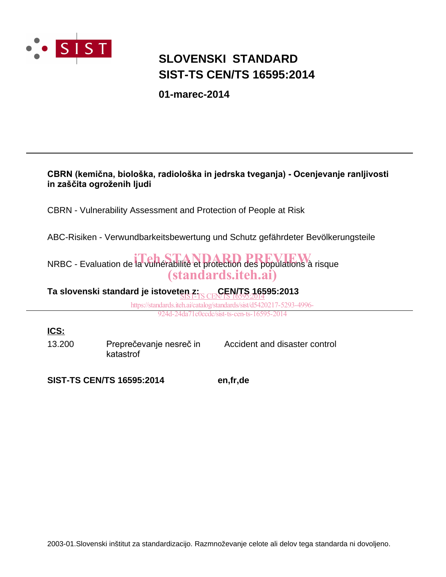

## **SLOVENSKI STANDARD SIST-TS CEN/TS 16595:2014**

01-marec-2014

| CBRN (kemična, biološka, radiološka in jedrska tveganja) - Ocenjevanje ranljivosti<br>in zaščita ogroženih ljudi                |                                      |                                             |  |
|---------------------------------------------------------------------------------------------------------------------------------|--------------------------------------|---------------------------------------------|--|
| CBRN - Vulnerability Assessment and Protection of People at Risk                                                                |                                      |                                             |  |
| ABC-Risiken - Verwundbarkeitsbewertung und Schutz gefährdeter Bevölkerungsteile                                                 |                                      |                                             |  |
| NRBC - Evaluation de la vulnérabilité et protection des populations à risque<br><i>(standards.iteh.ai)</i>                      |                                      |                                             |  |
| Ta slovenski standard je istoveten z: CEN/TS 16595:2013<br>https://standards.iteh.ai/catalog/standards/sist/d5420217-5293-4996- |                                      |                                             |  |
|                                                                                                                                 |                                      | 924d-24da71c0ccdc/sist-ts-cen-ts-16595-2014 |  |
| ICS:<br>13.200                                                                                                                  | Preprečevanje nesreč in<br>katastrof | Accident and disaster control               |  |

en,fr,de

**SIST-TS CEN/TS 16595:2014**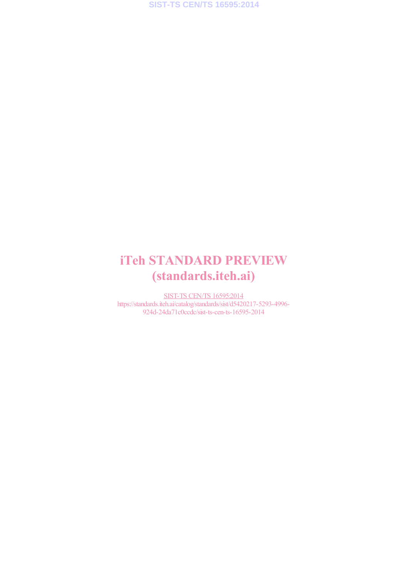# iTeh STANDARD PREVIEW (standards.iteh.ai)

SIST-TS CEN/TS 16595:2014 https://standards.iteh.ai/catalog/standards/sist/d5420217-5293-4996- 924d-24da71c0ccdc/sist-ts-cen-ts-16595-2014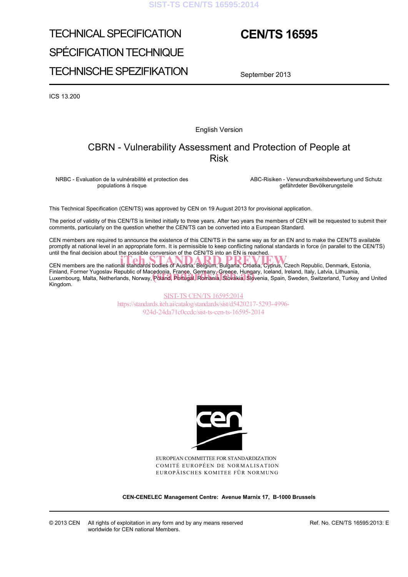### **SIST-TS CEN/TS 16595:2014**

# TECHNICAL SPECIFICATION SPÉCIFICATION TECHNIQUE TECHNISCHE SPEZIFIKATION

## **CEN/TS 16595**

September 2013

ICS 13.200

English Version

## CBRN - Vulnerability Assessment and Protection of People at Risk

NRBC - Evaluation de la vulnérabilité et protection des populations à risque

 ABC-Risiken - Verwundbarkeitsbewertung und Schutz gefährdeter Bevölkerungsteile

This Technical Specification (CEN/TS) was approved by CEN on 19 August 2013 for provisional application.

The period of validity of this CEN/TS is limited initially to three years. After two years the members of CEN will be requested to submit their comments, particularly on the question whether the CEN/TS can be converted into a European Standard.

CEN members are required to announce the existence of this CEN/TS in the same way as for an EN and to make the CEN/TS available promptly at national level in an appropriate form. It is permissible to keep conflicting national standards in force (in parallel to the CEN/TS) until the final decision about the possible conversion of the CEN/TS into an EN is reached.

CEN members are the national standards bodies of Austria, Belgium, Bulgaria, Croatia, Cyprus, Czech Republic, Denmark, Estonia, Finland, Former Yugoslav Republic of Macedonia, France, Germany, Greece, Hungary, Iceland, Ireland, Italy, Latvia, Lithuania, Finland, Former Yugoslav Republic of Macedonia, France, Germany, Greece, Hungary, Iceland, Ireland, Italy, Latvia, Lithuania,<br>Luxembourg, Malta, Netherlands, Norway, Poland, Portugal, Romania, Slovakia, Slovenia, Spain, Sw Kingdom.

> **SIST-TS CEN/TS 16595:2014** https://standards.iteh.ai/catalog/standards/sist/d5420217-5293-4996- 924d-24da71c0ccdc/sist-ts-cen-ts-16595-2014



EUROPEAN COMMITTEE FOR STANDARDIZATION COMITÉ EUROPÉEN DE NORMALISATION EUROPÄISCHES KOMITEE FÜR NORMUNG

**CEN-CENELEC Management Centre: Avenue Marnix 17, B-1000 Brussels** 

© 2013 CEN All rights of exploitation in any form and by any means reserved worldwide for CEN national Members.

Ref. No. CEN/TS 16595:2013: E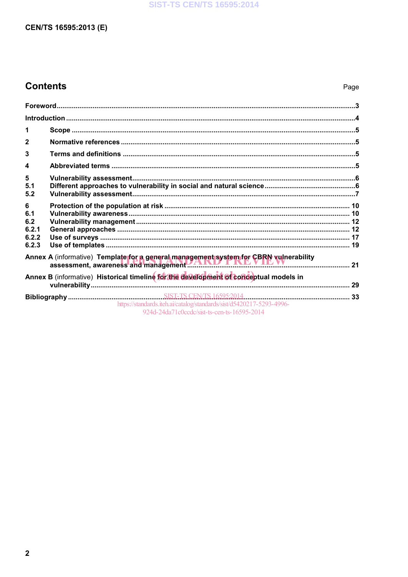### **SIST-TS CEN/TS 16595:2014**

### CEN/TS 16595:2013 (E)

## **Contents**

| 1                                                                                     |                                                                                                                     |  |
|---------------------------------------------------------------------------------------|---------------------------------------------------------------------------------------------------------------------|--|
| $\mathbf{2}$                                                                          |                                                                                                                     |  |
| 3                                                                                     |                                                                                                                     |  |
| $\boldsymbol{\Lambda}$                                                                |                                                                                                                     |  |
| 5<br>5.1<br>5.2                                                                       |                                                                                                                     |  |
| 6<br>6.1<br>6.2<br>6.2.1<br>6.2.2<br>6.2.3                                            |                                                                                                                     |  |
|                                                                                       |                                                                                                                     |  |
| Annex B (informative) Historical timeline for the development of conceptual models in |                                                                                                                     |  |
|                                                                                       | https://standards.iteh.ai/catalog/standards/sist/d5420217-5293-4996-<br>924d-24da71c0ccdc/sist-ts-cen-ts-16595-2014 |  |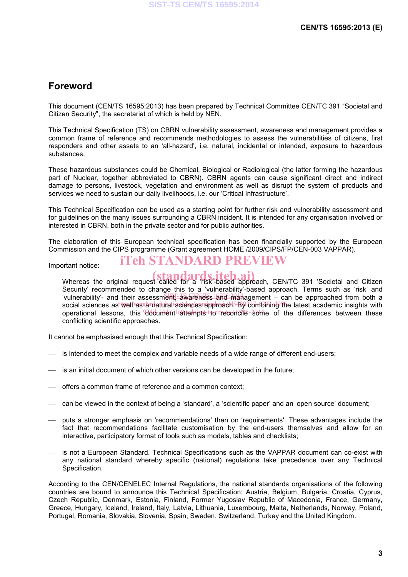### **Foreword**

This document (CEN/TS 16595:2013) has been prepared by Technical Committee CEN/TC 391 "Societal and Citizen Security", the secretariat of which is held by NEN.

This Technical Specification (TS) on CBRN vulnerability assessment, awareness and management provides a common frame of reference and recommends methodologies to assess the vulnerabilities of citizens, first responders and other assets to an 'all-hazard', i.e. natural, incidental or intended, exposure to hazardous substances.

These hazardous substances could be Chemical, Biological or Radiological (the latter forming the hazardous part of Nuclear, together abbreviated to CBRN). CBRN agents can cause significant direct and indirect damage to persons, livestock, vegetation and environment as well as disrupt the system of products and services we need to sustain our daily livelihoods, i.e. our 'Critical Infrastructure'.

This Technical Specification can be used as a starting point for further risk and vulnerability assessment and for guidelines on the many issues surrounding a CBRN incident. It is intended for any organisation involved or interested in CBRN, both in the private sector and for public authorities.

The elaboration of this European technical specification has been financially supported by the European Commission and the CIPS programme (Grant agreement HOME /2009/CIPS/FP/CEN-003 VAPPAR).

### Important notice:

# iTeh STANDARD PREVIEW

Whereas the original request called for a 'risk'-based approach, CEN/TC 391 'Societal and Citizen Security' recommended to change this to a 'vulnerability'-based approach. Terms such as 'risk' and 'vulnerability'- and their assessment, awareness and management - can be approached from both a social sciences as well as a natural sciences approach. By dombining the latest academic insights with operational lessons, this document attempts tro reconcile 30me of the differences between these conflicting scientific approaches.

It cannot be emphasised enough that this Technical Specification:

- is intended to meet the complex and variable needs of a wide range of different end-users;
- $\equiv$  is an initial document of which other versions can be developed in the future;
- offers a common frame of reference and a common context;
- can be viewed in the context of being a 'standard', a 'scientific paper' and an 'open source' document;
- puts a stronger emphasis on 'recommendations' then on 'requirements'. These advantages include the fact that recommendations facilitate customisation by the end-users themselves and allow for an interactive, participatory format of tools such as models, tables and checklists;
- is not a European Standard. Technical Specifications such as the VAPPAR document can co-exist with any national standard whereby specific (national) regulations take precedence over any Technical Specification.

According to the CEN/CENELEC Internal Regulations, the national standards organisations of the following countries are bound to announce this Technical Specification: Austria, Belgium, Bulgaria, Croatia, Cyprus, Czech Republic, Denmark, Estonia, Finland, Former Yugoslav Republic of Macedonia, France, Germany, Greece, Hungary, Iceland, Ireland, Italy, Latvia, Lithuania, Luxembourg, Malta, Netherlands, Norway, Poland, Portugal, Romania, Slovakia, Slovenia, Spain, Sweden, Switzerland, Turkey and the United Kingdom.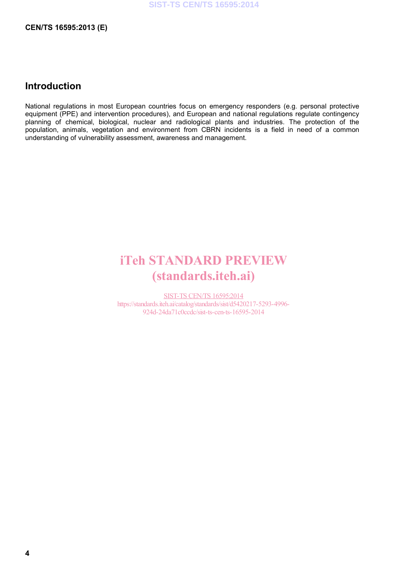## **Introduction**

National regulations in most European countries focus on emergency responders (e.g. personal protective equipment (PPE) and intervention procedures), and European and national regulations regulate contingency planning of chemical, biological, nuclear and radiological plants and industries. The protection of the population, animals, vegetation and environment from CBRN incidents is a field in need of a common understanding of vulnerability assessment, awareness and management.

# iTeh STANDARD PREVIEW (standards.iteh.ai)

SIST-TS CEN/TS 16595:2014 https://standards.iteh.ai/catalog/standards/sist/d5420217-5293-4996- 924d-24da71c0ccdc/sist-ts-cen-ts-16595-2014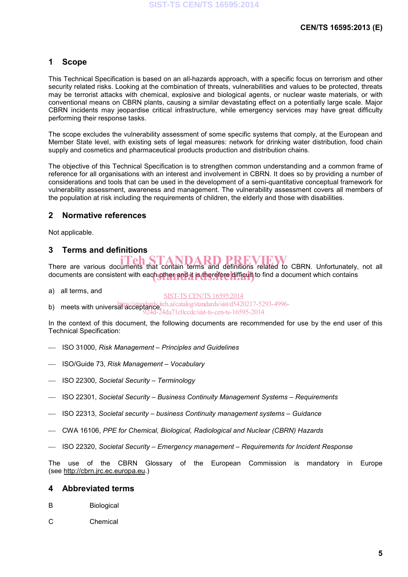### **1 Scope**

This Technical Specification is based on an all-hazards approach, with a specific focus on terrorism and other security related risks. Looking at the combination of threats, vulnerabilities and values to be protected, threats may be terrorist attacks with chemical, explosive and biological agents, or nuclear waste materials, or with conventional means on CBRN plants, causing a similar devastating effect on a potentially large scale. Major CBRN incidents may jeopardise critical infrastructure, while emergency services may have great difficulty performing their response tasks.

The scope excludes the vulnerability assessment of some specific systems that comply, at the European and Member State level, with existing sets of legal measures: network for drinking water distribution, food chain supply and cosmetics and pharmaceutical products production and distribution chains.

The objective of this Technical Specification is to strengthen common understanding and a common frame of reference for all organisations with an interest and involvement in CBRN. It does so by providing a number of considerations and tools that can be used in the development of a semi-quantitative conceptual framework for vulnerability assessment, awareness and management. The vulnerability assessment covers all members of the population at risk including the requirements of children, the elderly and those with disabilities.

### **2 Normative references**

Not applicable.

### **3 Terms and definitions**

# There are various documents that contain terms and definitions related to CBRN. Unfortunately, not all

documents are consistent with each other and it is therefore difficult to find a document which contains documents are consistent with each other and it is therefore difficult to find a document which contains

a) all terms, and

- **SIST-TS CEN/TS 16595:2014**
- b) meets with universal acceptance iteh.ai/catalog/standards/sist/d5420217-5293-4996-

 $24$ da $71c0$ c $c$ d $c/s$ ist-ts-cen-ts-16595-2014

In the context of this document, the following documents are recommended for use by the end user of this Technical Specification:

- ISO 31000, *Risk Management – Principles and Guidelines*
- ISO/Guide 73, *Risk Management – Vocabulary*
- ISO 22300, *Societal Security – Terminology*
- ISO 22301, *Societal Security – Business Continuity Management Systems – Requirements*
- ISO 22313, *Societal security – business Continuity management systems – Guidance*
- CWA 16106, *PPE for Chemical, Biological, Radiological and Nuclear (CBRN) Hazards*
- ISO 22320, *Societal Security – Emergency management – Requirements for Incident Response*

The use of the CBRN Glossary of the European Commission is mandatory in Europe (see http://cbrn.jrc.ec.europa.eu.)

#### **4 Abbreviated terms**

- B Biological
- C Chemical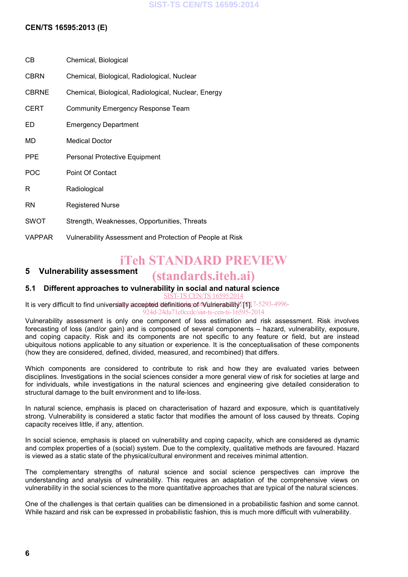### **CEN/TS 16595:2013 (E)**

| CВ            | Chemical, Biological                                      |  |
|---------------|-----------------------------------------------------------|--|
| <b>CBRN</b>   | Chemical, Biological, Radiological, Nuclear               |  |
| <b>CBRNE</b>  | Chemical, Biological, Radiological, Nuclear, Energy       |  |
| <b>CERT</b>   | <b>Community Emergency Response Team</b>                  |  |
| ED            | <b>Emergency Department</b>                               |  |
| MD            | <b>Medical Doctor</b>                                     |  |
| <b>PPE</b>    | <b>Personal Protective Equipment</b>                      |  |
| <b>POC</b>    | Point Of Contact                                          |  |
| R             | Radiological                                              |  |
| RN            | <b>Registered Nurse</b>                                   |  |
| <b>SWOT</b>   | Strength, Weaknesses, Opportunities, Threats              |  |
| <b>VAPPAR</b> | Vulnerability Assessment and Protection of People at Risk |  |

## iTeh STANDARD PREVIEW

### **5 Vulnerability assessment**

# (standards.iteh.ai)

#### **5.1 Different approaches to vulnerability in social and natural science E-TS CEN/TS 16:**

lt is very difficult to find universally accepted definitions of a Vulnerability<sup>o</sup>[14].7-5293-4996-924d-24da71c0ccdc/sist-ts-cen-ts-16595-2014

Vulnerability assessment is only one component of loss estimation and risk assessment. Risk involves forecasting of loss (and/or gain) and is composed of several components – hazard, vulnerability, exposure, and coping capacity. Risk and its components are not specific to any feature or field, but are instead ubiquitous notions applicable to any situation or experience. It is the conceptualisation of these components (how they are considered, defined, divided, measured, and recombined) that differs.

Which components are considered to contribute to risk and how they are evaluated varies between disciplines. Investigations in the social sciences consider a more general view of risk for societies at large and for individuals, while investigations in the natural sciences and engineering give detailed consideration to structural damage to the built environment and to life-loss.

In natural science, emphasis is placed on characterisation of hazard and exposure, which is quantitatively strong. Vulnerability is considered a static factor that modifies the amount of loss caused by threats. Coping capacity receives little, if any, attention.

In social science, emphasis is placed on vulnerability and coping capacity, which are considered as dynamic and complex properties of a (social) system. Due to the complexity, qualitative methods are favoured. Hazard is viewed as a static state of the physical/cultural environment and receives minimal attention.

The complementary strengths of natural science and social science perspectives can improve the understanding and analysis of vulnerability. This requires an adaptation of the comprehensive views on vulnerability in the social sciences to the more quantitative approaches that are typical of the natural sciences.

One of the challenges is that certain qualities can be dimensioned in a probabilistic fashion and some cannot. While hazard and risk can be expressed in probabilistic fashion, this is much more difficult with vulnerability.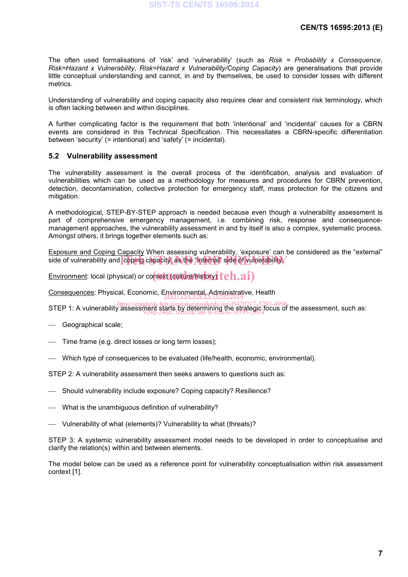The often used formalisations of 'risk' and 'vulnerability' (such as *Risk = Probability x Consequence*, *Risk=Hazard x Vulnerability, Risk=Hazard x Vulnerability/Coping Capacity*) are generalisations that provide little conceptual understanding and cannot, in and by themselves, be used to consider losses with different metrics.

Understanding of vulnerability and coping capacity also requires clear and consistent risk terminology, which is often lacking between and within disciplines.

A further complicating factor is the requirement that both 'intentional' and 'incidental' causes for a CBRN events are considered in this Technical Specification. This necessitates a CBRN-specific differentiation between 'security' (= intentional) and 'safety' (= incidental).

### **5.2 Vulnerability assessment**

The vulnerability assessment is the overall process of the identification, analysis and evaluation of vulnerabilities which can be used as a methodology for measures and procedures for CBRN prevention, detection, decontamination, collective protection for emergency staff, mass protection for the citizens and mitigation.

A methodological, STEP-BY-STEP approach is needed because even though a vulnerability assessment is part of comprehensive emergency management, i.e. combining risk, response and consequencemanagement approaches, the vulnerability assessment in and by itself is also a complex, systematic process. Amongst others, it brings together elements such as:

Exposure and Coping Capacity When assessing vulnerability, 'exposure' can be considered as the "external" **Exposite and Soping suppose** when assessing valuerability, supposite can be side of vulnerability.

<u>Environment</u>: local (physical) or context (culture/history)  $\boldsymbol{t}$   $\boldsymbol{eh}$  .ai)

<u>Consequences</u>: Physical, Economic, Environmental, Administrative, Health<br>SIST-TS 16595:2014

https://standards.iteh.ai/catalog/standards/sist/d5420217-5293-4996-<br>STEP 1: A vulnerability assessment starts by determining the strategic focus of the assessment, such as: 924d-24da71c0ccdc/sist-ts-cen-ts-16595-2014

- Geographical scale;
- Time frame (e.g. direct losses or long term losses);
- Which type of consequences to be evaluated (life/health, economic, environmental).

STEP 2: A vulnerability assessment then seeks answers to questions such as:

- Should vulnerability include exposure? Coping capacity? Resilience?
- What is the unambiguous definition of vulnerability?
- Vulnerability of what (elements)? Vulnerability to what (threats)?

STEP 3: A systemic vulnerability assessment model needs to be developed in order to conceptualise and clarify the relation(s) within and between elements.

The model below can be used as a reference point for vulnerability conceptualisation within risk assessment context [1].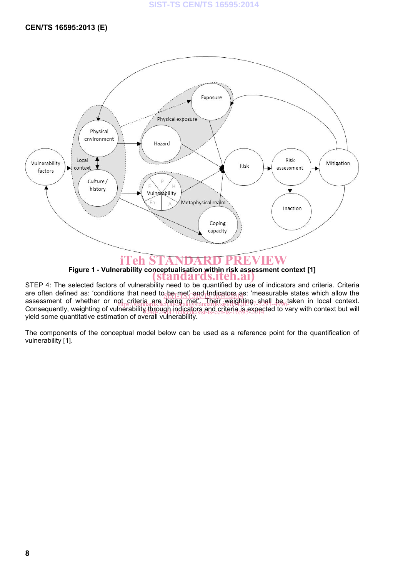

**Figure 1 - Vulnerability conceptualisation within risk assessment context [1]** (standards.iteh.ai)

STEP 4: The selected factors of vulnerability need to be quantified by use of indicators and criteria. Criteria are often defined as: 'conditions that need to be met' and Indicators as: 'measurable states which allow the contract centers. assessment of whether or not criteria are being met. Their weighting shall be taken in local context.<br>Careerworth weighting of will be different in the catalog standards/sist/d5420217-5293-4996-converted by the c Consequently, weighting of vulnerability through indicators and criteria is expected to vary with context but will<br>viold some quantitative estimation of overall will useful visit-is-cen-ts-16595-2014 to vary with context b yield some quantitative estimation of overall vulnerability.

The components of the conceptual model below can be used as a reference point for the quantification of vulnerability [1].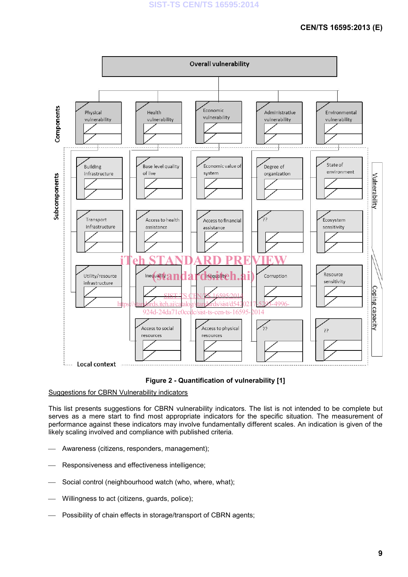### **CEN/TS 16595:2013 (E)**



### **Figure 2 - Quantification of vulnerability [1]**

#### Suggestions for CBRN Vulnerability indicators

This list presents suggestions for CBRN vulnerability indicators. The list is not intended to be complete but serves as a mere start to find most appropriate indicators for the specific situation. The measurement of performance against these indicators may involve fundamentally different scales. An indication is given of the likely scaling involved and compliance with published criteria.

- Awareness (citizens, responders, management);
- Responsiveness and effectiveness intelligence;
- Social control (neighbourhood watch (who, where, what);
- Willingness to act (citizens, guards, police);
- Possibility of chain effects in storage/transport of CBRN agents;